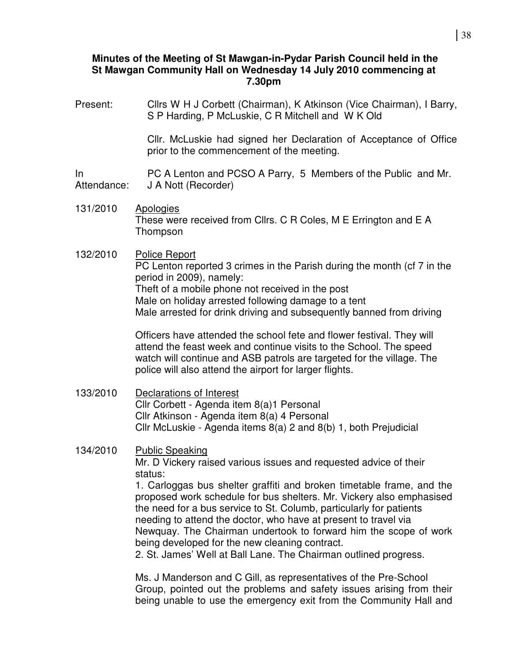# **Minutes of the Meeting of St Mawgan-in-Pydar Parish Council held in the St Mawgan Community Hall on Wednesday 14 July 2010 commencing at 7.30pm**

Present: Cllrs W H J Corbett (Chairman), K Atkinson (Vice Chairman), I Barry, S P Harding, P McLuskie, C R Mitchell and W K Old Cllr. McLuskie had signed her Declaration of Acceptance of Office prior to the commencement of the meeting. In Attendance: PC A Lenton and PCSO A Parry, 5 Members of the Public and Mr. J A Nott (Recorder) 131/2010 Apologies These were received from Cllrs. C R Coles, M E Errington and E A Thompson 132/2010 Police Report PC Lenton reported 3 crimes in the Parish during the month (cf 7 in the period in 2009), namely: Theft of a mobile phone not received in the post Male on holiday arrested following damage to a tent Male arrested for drink driving and subsequently banned from driving Officers have attended the school fete and flower festival. They will attend the feast week and continue visits to the School. The speed watch will continue and ASB patrols are targeted for the village. The police will also attend the airport for larger flights. 133/2010 Declarations of Interest Cllr Corbett - Agenda item 8(a)1 Personal Cllr Atkinson - Agenda item 8(a) 4 Personal Cllr McLuskie - Agenda items 8(a) 2 and 8(b) 1, both Prejudicial 134/2010 Public Speaking Mr. D Vickery raised various issues and requested advice of their status: 1. Carloggas bus shelter graffiti and broken timetable frame, and the proposed work schedule for bus shelters. Mr. Vickery also emphasised the need for a bus service to St. Columb, particularly for patients needing to attend the doctor, who have at present to travel via Newquay. The Chairman undertook to forward him the scope of work being developed for the new cleaning contract. 2. St. James' Well at Ball Lane. The Chairman outlined progress.

 Ms. J Manderson and C Gill, as representatives of the Pre-School Group, pointed out the problems and safety issues arising from their being unable to use the emergency exit from the Community Hall and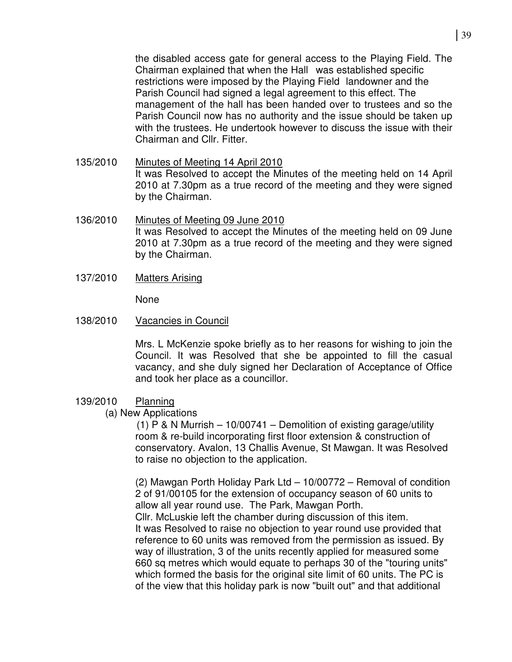the disabled access gate for general access to the Playing Field. The Chairman explained that when the Hall was established specific restrictions were imposed by the Playing Field landowner and the Parish Council had signed a legal agreement to this effect. The management of the hall has been handed over to trustees and so the Parish Council now has no authority and the issue should be taken up with the trustees. He undertook however to discuss the issue with their Chairman and Cllr. Fitter.

- 135/2010 Minutes of Meeting 14 April 2010 It was Resolved to accept the Minutes of the meeting held on 14 April 2010 at 7.30pm as a true record of the meeting and they were signed by the Chairman.
- 136/2010 Minutes of Meeting 09 June 2010 It was Resolved to accept the Minutes of the meeting held on 09 June 2010 at 7.30pm as a true record of the meeting and they were signed by the Chairman.
- 137/2010 Matters Arising

None

138/2010 Vacancies in Council

Mrs. L McKenzie spoke briefly as to her reasons for wishing to join the Council. It was Resolved that she be appointed to fill the casual vacancy, and she duly signed her Declaration of Acceptance of Office and took her place as a councillor.

### 139/2010 Planning

(a) New Applications

(1) P & N Murrish – 10/00741 – Demolition of existing garage/utility room & re-build incorporating first floor extension & construction of conservatory. Avalon, 13 Challis Avenue, St Mawgan. It was Resolved to raise no objection to the application.

(2) Mawgan Porth Holiday Park Ltd – 10/00772 – Removal of condition 2 of 91/00105 for the extension of occupancy season of 60 units to allow all year round use. The Park, Mawgan Porth.

Cllr. McLuskie left the chamber during discussion of this item. It was Resolved to raise no objection to year round use provided that reference to 60 units was removed from the permission as issued. By way of illustration, 3 of the units recently applied for measured some 660 sq metres which would equate to perhaps 30 of the "touring units" which formed the basis for the original site limit of 60 units. The PC is of the view that this holiday park is now "built out" and that additional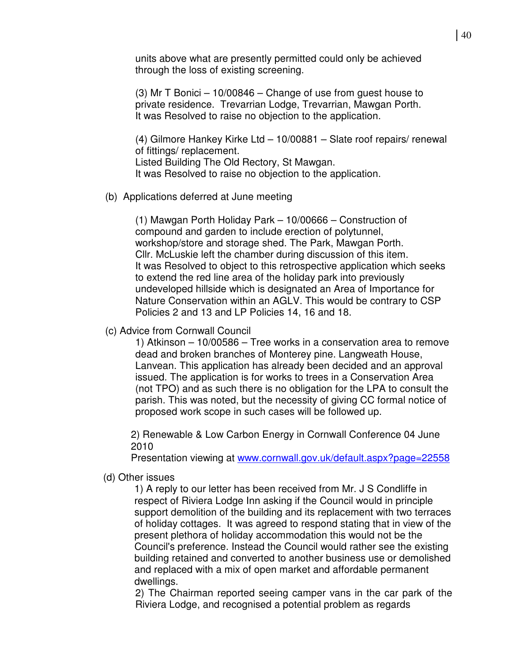units above what are presently permitted could only be achieved through the loss of existing screening.

(3) Mr T Bonici – 10/00846 – Change of use from guest house to private residence. Trevarrian Lodge, Trevarrian, Mawgan Porth. It was Resolved to raise no objection to the application.

(4) Gilmore Hankey Kirke Ltd – 10/00881 – Slate roof repairs/ renewal of fittings/ replacement. Listed Building The Old Rectory, St Mawgan. It was Resolved to raise no objection to the application.

(b) Applications deferred at June meeting

(1) Mawgan Porth Holiday Park – 10/00666 – Construction of compound and garden to include erection of polytunnel, workshop/store and storage shed. The Park, Mawgan Porth. Cllr. McLuskie left the chamber during discussion of this item. It was Resolved to object to this retrospective application which seeks to extend the red line area of the holiday park into previously undeveloped hillside which is designated an Area of Importance for Nature Conservation within an AGLV. This would be contrary to CSP Policies 2 and 13 and LP Policies 14, 16 and 18.

#### (c) Advice from Cornwall Council

 1) Atkinson – 10/00586 – Tree works in a conservation area to remove dead and broken branches of Monterey pine. Langweath House, Lanvean. This application has already been decided and an approval issued. The application is for works to trees in a Conservation Area (not TPO) and as such there is no obligation for the LPA to consult the parish. This was noted, but the necessity of giving CC formal notice of proposed work scope in such cases will be followed up.

2) Renewable & Low Carbon Energy in Cornwall Conference 04 June 2010

Presentation viewing at www.cornwall.gov.uk/default.aspx?page=22558

### (d) Other issues

 1) A reply to our letter has been received from Mr. J S Condliffe in respect of Riviera Lodge Inn asking if the Council would in principle support demolition of the building and its replacement with two terraces of holiday cottages. It was agreed to respond stating that in view of the present plethora of holiday accommodation this would not be the Council's preference. Instead the Council would rather see the existing building retained and converted to another business use or demolished and replaced with a mix of open market and affordable permanent dwellings.

 2) The Chairman reported seeing camper vans in the car park of the Riviera Lodge, and recognised a potential problem as regards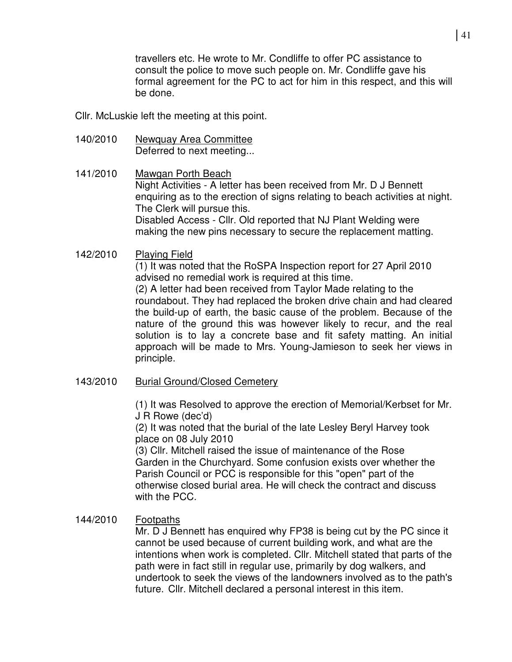travellers etc. He wrote to Mr. Condliffe to offer PC assistance to consult the police to move such people on. Mr. Condliffe gave his formal agreement for the PC to act for him in this respect, and this will be done.

Cllr. McLuskie left the meeting at this point.

- 140/2010 Newquay Area Committee Deferred to next meeting...
- 141/2010 Mawgan Porth Beach Night Activities - A letter has been received from Mr. D J Bennett enquiring as to the erection of signs relating to beach activities at night. The Clerk will pursue this. Disabled Access - Cllr. Old reported that NJ Plant Welding were making the new pins necessary to secure the replacement matting.

# 142/2010 Playing Field

(1) It was noted that the RoSPA Inspection report for 27 April 2010 advised no remedial work is required at this time.

(2) A letter had been received from Taylor Made relating to the roundabout. They had replaced the broken drive chain and had cleared the build-up of earth, the basic cause of the problem. Because of the nature of the ground this was however likely to recur, and the real solution is to lay a concrete base and fit safety matting. An initial approach will be made to Mrs. Young-Jamieson to seek her views in principle.

143/2010 Burial Ground/Closed Cemetery

 (1) It was Resolved to approve the erection of Memorial/Kerbset for Mr. J R Rowe (dec'd)

 (2) It was noted that the burial of the late Lesley Beryl Harvey took place on 08 July 2010

 (3) Cllr. Mitchell raised the issue of maintenance of the Rose Garden in the Churchyard. Some confusion exists over whether the Parish Council or PCC is responsible for this "open" part of the otherwise closed burial area. He will check the contract and discuss with the PCC.

# 144/2010 Footpaths

 Mr. D J Bennett has enquired why FP38 is being cut by the PC since it cannot be used because of current building work, and what are the intentions when work is completed. Cllr. Mitchell stated that parts of the path were in fact still in regular use, primarily by dog walkers, and undertook to seek the views of the landowners involved as to the path's future. Cllr. Mitchell declared a personal interest in this item.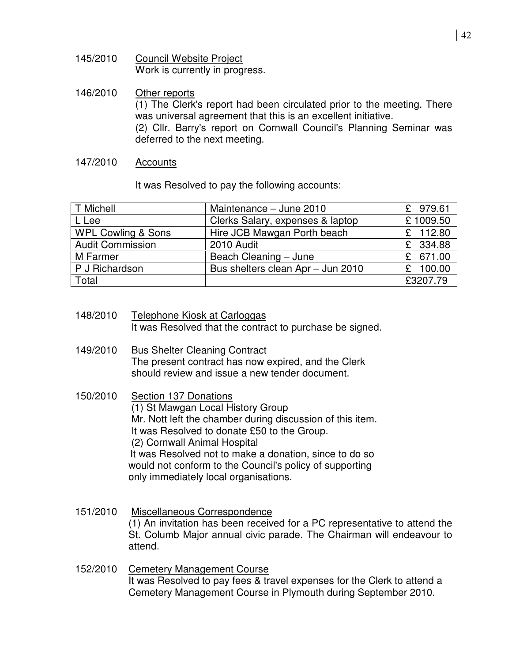- 145/2010 Council Website Project Work is currently in progress.
- 146/2010 Other reports (1) The Clerk's report had been circulated prior to the meeting. There was universal agreement that this is an excellent initiative. (2) Cllr. Barry's report on Cornwall Council's Planning Seminar was deferred to the next meeting.
- 147/2010 Accounts

It was Resolved to pay the following accounts:

| <b>T Michell</b>              | Maintenance - June 2010           | £ 979.61 |
|-------------------------------|-----------------------------------|----------|
| L Lee                         | Clerks Salary, expenses & laptop  | £1009.50 |
| <b>WPL Cowling &amp; Sons</b> | Hire JCB Mawgan Porth beach       | £ 112.80 |
| <b>Audit Commission</b>       | 2010 Audit                        | £ 334.88 |
| M Farmer                      | Beach Cleaning - June             | £ 671.00 |
| P J Richardson                | Bus shelters clean Apr - Jun 2010 | £ 100.00 |
| Total                         |                                   | £3207.79 |

| 148/2010 | Telephone Kiosk at Carloggas                             |
|----------|----------------------------------------------------------|
|          | It was Resolved that the contract to purchase be signed. |

- 149/2010 Bus Shelter Cleaning Contract The present contract has now expired, and the Clerk should review and issue a new tender document.
- 150/2010 Section 137 Donations (1) St Mawgan Local History Group Mr. Nott left the chamber during discussion of this item. It was Resolved to donate £50 to the Group. (2) Cornwall Animal Hospital It was Resolved not to make a donation, since to do so would not conform to the Council's policy of supporting only immediately local organisations.
- 151/2010 Miscellaneous Correspondence (1) An invitation has been received for a PC representative to attend the St. Columb Major annual civic parade. The Chairman will endeavour to attend.
- 152/2010 Cemetery Management Course It was Resolved to pay fees & travel expenses for the Clerk to attend a Cemetery Management Course in Plymouth during September 2010.